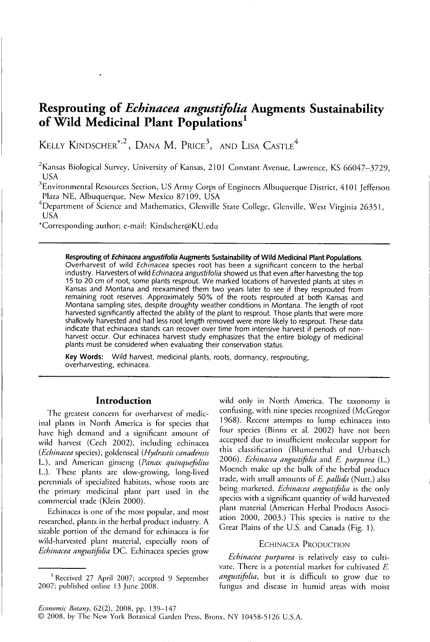# Resprouting of *Echinacea angustifolia* Augments Sustainability of Wild Medicinal Plant Populations<sup>1</sup>

KELLY KINDSCHER<sup>\*,2</sup>, DANA M. PRICE<sup>3</sup>, AND LISA CASTLE<sup>4</sup>

<sup>2</sup>Kansas Biological Survey, University of Kansas, 2101 Constant Avenue, Lawrence, KS 66047–3729 USA *<sup>3</sup>*Environmental Resources Section, US Army Corps of Engineers Albuquerque District, 4101 Jefferson

Plaza NE, Albuquerque, New Mexico 87109, USA

<sup>4</sup>Department of Science and Mathematics, Glenville State College, Glenville, West Virginia 26351, USA

\*Corresponding author; e-mail: Kindscher@KU.edu

Resprouting of *Echinacea angustifolia* Augments Sustainability of Wild Medicinal Plant Populations. Overharvest of wild *Echinacea* species root has been a significant concern to the herbal industry. Harvesters of wild *Echinacea angustifolia* showed us that even after harvesting the top 15 to 20 cm of root, some plants resprout. We marked locations of harvested plants at sites in Kansas and Montana and reexamined them two years later to see if they resprouted from remaining root reserves. Approximately 50% of the roots resprouted at both Kansas and Montana sampling sites, despite droughty weather conditions in Montana. The length of root harvested significantly affected the ability of the plant to resprout. Those plants that were more shallowly harvested and had less root length removed were more likely to resprout. These data indicate that echinacea stands can recover over time from intensive harvest if periods of non- harvest occur. Our echinacea harvest study emphasizes that the entire biology of medicinal plants must be considered when evaluating their conservation status.

Key Words: Wild harvest, medicinal plants, roots, dormancy, resprouting, overharvesting, echinacea.

#### Introduction

The greatest concern for overharvest of medicinal plants in North America is for species that have high demand and a significant amount of wild harvest (Cech 2002), including echinacea *(Echinacea* species), goldenseal *(Hydrastis canadensis* L.), and American ginseng *(Panax quinquejblius* L.). These plants are slow-growing, long-lived perennials of specialized habitats, whose roots are the primary medicinal plant part used in the commercial trade (Klein 2000).

Echinacea is one of the most popular, and most researched, plants in the herbal product industry. A sizable portion of the demand for echinacea is for wild-harvested plant material, especially roots of *Echinacea angustifolia* DC. Echinacea species grow

wild only in North America. The taxonomy is confusing, with nine species recognized (McGregor 1968). Recent attempts to lump echinacea into four species (Binns et al. 2002) have not been accepted due to insufficient molecular support for this classification (Blumenthal and Urbatsch 2006). *Echinacea angustifolia* and E *purpurea (L.)* Moench make up the bulk of the herbal product trade, with small amounts of *E. pal/ida* (Nutt.) also being marketed. *Echinacea angustfo/ia* is the only species with a significant quantity of wild harvested plant material (American Herbal Products Association 2000, 2003.) This species is native to the Great Plains of the U.S. and Canada (Fig. 1).

#### ECHINACEA PRODUCTION

*Echinacea purpurea* is relatively easy to cultivate. There is a potential market for cultivated *E. angustifolia,* but it is difficult to grow due to fungus and disease in humid areas with moist

<sup>&#</sup>x27;Received 27 April 2007; accepted 9 September 2007; published online 13 June 2008.

*Economic Botany,* 62(2), 2008, pp. 139-147

<sup>© 2008,</sup> **by** The New York Botanical Garden Press, Bronx, NY 10458-5126 U.S.A.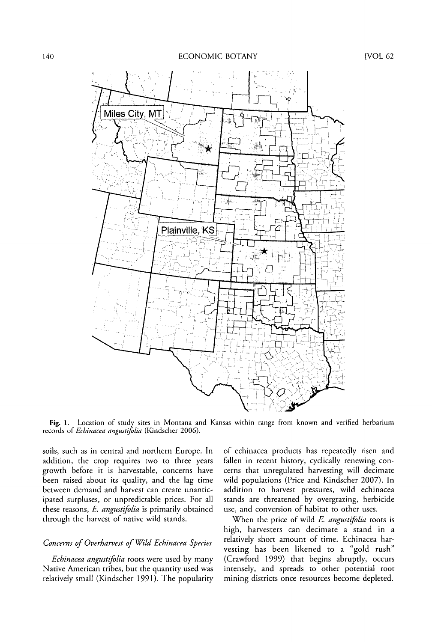

Fig. **1.** Location of study sites in Montana and Kansas within range from known and verified herbarium records of *Echinacea angustifolia* (Kindscher 2006).

soils, such as in central and northern Europe. In addition, the crop requires two to three years growth before it is harvestable, concerns have been raised about its quality, and the lag time between demand and harvest can create unanticipated surpluses, or unpredictable prices. For all these reasons, E *angustifolia* is primarily obtained through the harvest of native wild stands.

#### *Concerns of Overharvest of Wild Echinacea Species*

*Echinacea angustifolia* roots were used by many Native American tribes, but the quantity used was relatively small (Kindscher 1991). The popularity of echinacea products has repeatedly risen and fallen in recent history, cyclically renewing concerns that unregulated harvesting will decimate wild populations (Price and Kindscher 2007). In addition to harvest pressures, wild echinacea stands are threatened by overgrazing, herbicide use, and conversion of habitat to other uses.

When the price of wild *E. angustifolia* roots is high, harvesters can decimate a stand in a relatively short amount of time. Echinacea harvesting has been likened to a "gold rush" (Crawford 1999) that begins abruptly, occurs intensely, and spreads to other potential root mining districts once resources become depleted.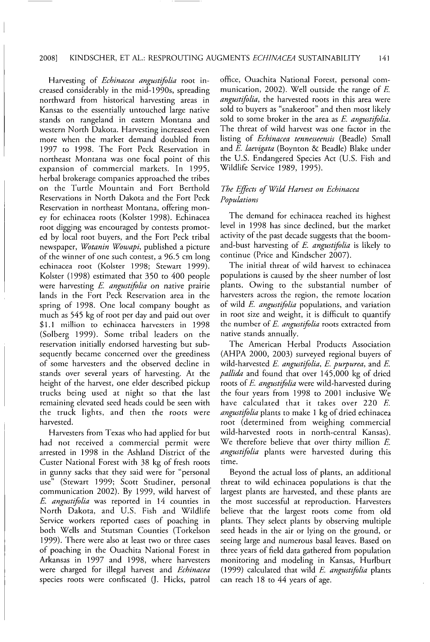#### 2008] KINDSCHER, ET AL.: RESPROUTING AUGMENTS *ECHINACEA* SUSTAINABILITY 141

Harvesting of *Echinacea angustifolia* root increased considerably in the mid-1990s, spreading northward from historical harvesting areas in Kansas to the essentially untouched large native stands on rangeland in eastern Montana and western North Dakota. Harvesting increased even more when the market demand doubled from 1997 to 1998. The Fort Peck Reservation in northeast Montana was one focal point of this expansion of commercial markets. In 1995, herbal brokerage companies approached the tribes on the Turtle Mountain and Fort Berthold Reservations in North Dakota and the Fort Peck Reservation in northeast Montana, offering money for echinacea roots (Kolster 1998). Echinacea root digging was encouraged by contests promoted by local root buyers, and the Fort Peck tribal newspaper, *Wotanin Wowapi,* published a picture of the winner of one such contest, a 96.5 cm long echinacea root (Kolster 1998; Stewart 1999). Kolster (1998) estimated that 350 to 400 people were harvesting *E angustifolia* on native prairie lands in the Fort Peck Reservation area in the spring of 1998. One local company bought as much as 545 kg of root per day and paid out over \$1.1 million to echinacea harvesters in 1998 (Solberg 1999). Some tribal leaders on the reservation initially endorsed harvesting but subsequently became concerned over the greediness of some harvesters and the observed decline in stands over several years of harvesting. At the height of the harvest, one elder described pickup trucks being used at night so that the last remaining elevated seed heads could be seen with the truck lights, and then the roots were harvested.

Harvesters from Texas who had applied for but had not received a commercial permit were arrested in 1998 in the Ashland District of the Custer National Forest with 38 kg of fresh roots in gunny sacks that they said were for "personal use" (Stewart 1999; Scott Studiner, personal communication 2002). By 1999, wild harvest of *E. angustifolia* was reported in 14 counties in North Dakota, and U.S. Fish and Wildlife Service workers reported cases of poaching in both Wells and Stutsman Counties (Torkelson 1999). There were also at least two or three cases of poaching in the Ouachita National Forest in Arkansas in 1997 and 1998, where harvesters were charged for illegal harvest and *Echinacea* species roots were confiscated (J. Hicks, patrol

office, Ouachita National Forest, personal communication, 2002). Well outside the range of **E.** *angustifolia,* the harvested roots in this area were sold to buyers as "snakeroot" and then most likely sold to some broker in the area as *E. angustifolia.* The threat of wild harvest was one factor in the listing of *Echinacea tennesseensis* (Beadle) Small and *E laevigata* (Boynton & Beadle) Blake under the U.S. Endangered Species Act (U.S. Fish and Wildlife Service 1989, 1995).

#### *The Effects of Wild Harvest on Echinacea Populations*

The demand for echinacea reached its highest level in 1998 has since declined, but the market activity of the past decade suggests that the boomand-bust harvesting of *E. angustifolia* is likely to continue (Price and Kindscher 2007).

The initial threat of wild harvest to echinacea populations is caused by the sheer number of lost plants. Owing to the substantial number of harvesters across the region, the remote location of wild *E. angustifolia* populations, and variation in root size and weight, it is difficult to quantify the number of *E. angustifolia* roots extracted from native stands annually.

The American Herbal Products Association (AHPA 2000, 2003) surveyed regional buyers of wild-harvested *E. angustifolia, E. purpurea,* and *E. pallida* and found that over 145,000 kg of dried roots of *E. angustifolia* were wild-harvested during the four years from 1998 to 2001 inclusive We have calculated that it takes over 220 *E. angustifolia* plants to make 1 kg of dried echinacea root (determined from weighing commercial wild-harvested roots in north-central Kansas). We therefore believe that over thirty million *E. angustifolia* plants were harvested during this time.

Beyond the actual loss of plants, an additional threat to wild echinacea populations is that the largest plants are harvested, and these plants are the most successful at reproduction. Harvesters believe that the largest roots come from old plants. They select plants by observing multiple seed heads in the air or lying on the ground, or seeing large and numerous basal leaves. Based on three years of field data gathered from population monitoring and modeling in Kansas, Hurlburt (1999) calculated that wild **E.** *angustifolia* plants can reach 18 to 44 years of age.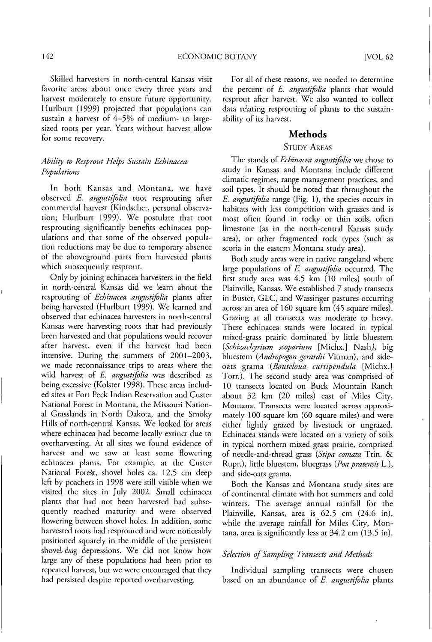Skilled harvesters in north-central Kansas visit favorite areas about once every three years and harvest moderately to ensure future opportunity. Hurlburt (1999) projected that populations can sustain a harvest of 4-5% of medium- to largesized roots per year. Years without harvest allow for some recovery.

#### *Ability to Resprout Helps Sustain Echinacea Populations*

In both Kansas and Montana, we have observed *E. angustifolia* root resprouting after commercial harvest (Kindscher, personal observation; Hurlburt 1999). We postulate that root resprouting significantly benefits echinacea populations and that some of the observed population reductions may be due to temporary absence of the aboveground parts from harvested plants which subsequently resprout.

Only by joining echinacea harvesters in the field in north-central Kansas did we learn about the resprouting of *Echinacea angustifolia* plants after being harvested (Hurlburt 1999). We learned and observed that echinacea harvesters in north-central Kansas were harvesting roots that had previously been harvested and that populations would recover after harvest, even if the harvest had been intensive. During the summers of 2001-2003, we made reconnaissance trips to areas where the wild harvest of *E. angustifolia* was described as being excessive (Kolster 1998). These areas included sites at Fort Peck Indian Reservation and Custer National Forest in Montana, the Missouri National Grasslands in North Dakota, and the Smoky Hills of north-central Kansas. We looked for areas where echinacea had become locally extinct due to overharvesting. At all sites we found evidence of harvest and we saw at least some flowering echinacea plants. For example, at the Custer National Forest, shovel holes ca. 12.5 cm deep left by poachers in 1998 were still visible when we visited the sites in July 2002. Small echinacea plants that had not been harvested had subsequently reached maturity and were observed flowering between shovel holes. In addition, some harvested roots had resprouted and were noticeably positioned squarely in the middle of the persistent shovel-dug depressions. We did not know how large any of these populations had been prior to repeated harvest, but we were encouraged that they had persisted despite reported overharvesting.

For all of these reasons, we needed to determine the percent of *E. angustifolia* plants that would resprout after harvest. We also wanted to collect data relating resprouring of plants to the sustainability of its harvest.

#### Methods

#### STUDY AREAS

The stands of *Echinacea angustifolia* we chose to study in Kansas and Montana include different climatic regimes, range management practices, and soil types. It should be noted that throughout the *E. angustifolia* range (Fig. 1), the species occurs in habitats with less competition with grasses and is most often found in rocky or thin soils, often limestone (as in the north-central Kansas study area), or other fragmented rock types (such as scoria in the eastern Montana study area).

Both study areas were in native rangeland where large populations of *E. angustifolia* occurred. The first study area was 4.5 km (10 miles) south of Plainville, Kansas. We established 7 study transects in Buster, GLC, and Wassinger pastures occurring across an area of 160 square km (45 square miles). Grazing at all transects was moderate to heavy. These echinacea stands were located in typical mixed-grass prairie dominated by little bluestem *(Schizachyrium scoparium* [Michx.] Nash), big bluestem *(Andropogon gerardii* Vitman), and sideoats grama *(Bouteloua curtipendula* [Michx.] Torr.). The second study area was comprised of 10 transects located on Buck Mountain Ranch about 32 km (20 miles) east of Miles City, Montana. Transects were located across approximately 100 square km (60 square miles) and were either lightly grazed by livestock or ungrazed. Echinacea stands were located on a variety of soils in typical northern mixed grass prairie, comprised of needle-and-thread grass *(Stipa comata* Trin. & Rupr.), little bluestem, bluegrass *(Poapratensis* L.), and side-oats grama.

Both the Kansas and Montana study sites are of continental climate with hot summers and cold winters. The average annual rainfall for the Plainville, Kansas, area is 62.5 cm (24.6 in), while the average rainfall for Miles City, Montana, area is significantly less at 34.2 cm (13.5 in).

#### *Selection of Sampling Transects and Methods*

Individual sampling transects were chosen based on an abundance of *E. angustifolia* plants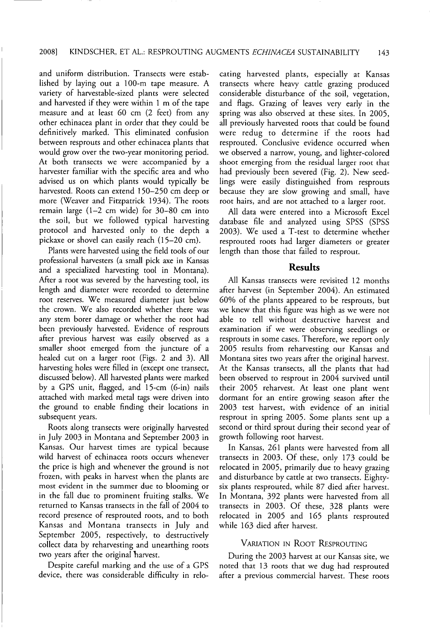and uniform distribution. Transects were established by laying out a 100-m tape measure. A variety of harvestable-sized plants were selected and harvested if they were within 1 m of the tape measure and at least 60 cm (2 feet) from any other echinacea plant in order that they could be definitively marked. This eliminated confusion between resprouts and other echinacea plants that would grow over the two-year monitoring period. At both transects we were accompanied by a harvester familiar with the specific area and who advised us on which plants would typically be harvested. Roots can extend 150-250 cm deep or more (Weaver and Fitzpatrick 1934). The roots remain large (1-2 cm wide) for 30-80 cm into the soil, but we followed typical harvesting protocol and harvested only to the depth a pickaxe or shovel can easily reach (15-20 cm).

Plants were harvested using the field tools of our professional harvesters (a small pick axe in Kansas and a specialized harvesting tool in Montana). After a root was severed by the harvesting tool, its length and diameter were recorded to determine root reserves. We measured diameter just below the crown. We also recorded whether there was any stem borer damage or whether the root had been previously harvested. Evidence of resprouts after previous harvest was easily observed as a smaller shoot emerged from the juncture of a healed cut on a larger root (Figs. 2 and 3). All harvesting holes were filled in (except one transect, discussed below). All harvested plants were marked by a GPS unit, flagged, and 15-cm (6-in) nails attached with marked metal tags were driven into the ground to enable finding their locations in subsequent years.

Roots along transects were originally harvested in July 2003 in Montana and September 2003 in Kansas. Our harvest times are typical because wild harvest of echinacea roots occurs whenever the price is high and whenever the ground is not frozen, with peaks in harvest when the plants are most evident in the summer due to blooming or in the fall due to prominent fruiting stalks. We returned to Kansas transects in the fall of 2004 to record presence of resprouted roots, and to both Kansas and Montana transects in July and September 2005, respectively, to destructively collect data by reharvesting and unearthing roots two years after the original harvest.

Despite careful marking and the use of a GPS device, there was considerable difficulty in relocating harvested plants, especially at Kansas transects where heavy cattle grazing produced considerable disturbance of the soil, vegetation, and flags. Grazing of leaves very early in the spring was also observed at these sites. In 2005, all previously harvested roots that could be found were redug to determine if the roots had resprouted. Conclusive evidence occurred when we observed a narrow, young, and lighter-colored shoot emerging from the residual larger root that had previously been severed (Fig. 2). New seedlings were easily distinguished from resprouts because they are slow growing and small, have root hairs, and are not attached to a larger root.

All data were entered into a Microsoft Excel database file and analyzed using SPSS (SPSS 2003). We used a T-test to determine whether resprouted roots had larger diameters or greater length than those that failed to resprout.

#### Results

All Kansas transects were revisited 12 months after harvest (in September 2004). An estimated 60% of the plants appeared to be resprouts, but we knew that this figure was high as we were not able to tell without destructive harvest and examination if we were observing seedlings or resprouts in some cases. Therefore, we report only 2005 results from reharvesting our Kansas and Montana sites two years after the original harvest. At the Kansas transects, all the plants that had been observed to resprout in 2004 survived until their 2005 reharvest. At least one plant went dormant for an entire growing season after the 2003 test harvest, with evidence of an initial resprout in spring 2005. Some plants sent up a second or third sprout during their second year of growth following root harvest.

In Kansas, 261 plants were harvested from all transects in 2003. Of these, only 173 could be relocated in 2005, primarily due to heavy grazing and disturbance by cattle at two transects. Eightysix plants resprouted, while 87 died after harvest. In Montana, 392 plants were harvested from all transects in 2003. Of these, 328 plants were relocated in 2005 and 165 plants resprouted while 163 died after harvest.

#### VARIATION IN ROOT RESPROUTING

During the 2003 harvest at our Kansas site, we noted that 13 roots that we dug had resprouted after a previous commercial harvest. These roots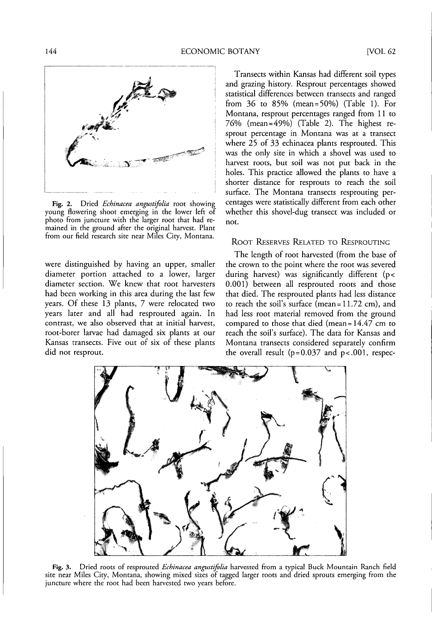

Fig. 2. Dried *Echinacea angustifolia* root showing young flowering shoot emerging in the lower left of photo from juncture with the larger root that had re mained in the ground after the original harvest. Plant from our field research site near Miles City, Montana.

were distinguished by having an upper, smaller diameter portion attached to a lower, larger diameter section. We knew that root harvesters had been working in this area during the last few years. Of these 13 plants, 7 were relocated two years later and all had resprouted again. In contrast, we also observed that at initial harvest, root-borer larvae had damaged six plants at our Kansas transects. Five out of six of these plants did not resprout.

Transects within Kansas had different soil types and grazing history. Resprout percentages showed statistical differences between transects and ranged from 36 to 85% (mean=50%) (Table 1). For Montana, resprout percentages ranged from 11 to 76% (mean=49%) (Table 2). The highest resprout percentage in Montana was at a transect where 25 of 33 echinacea plants resprouted. This was the only site in which a shovel was used to harvest roots, but soil was not put back in the holes. This practice allowed the plants to have a shorter distance for resprouts to reach the soil surface. The Montana transects resprouting percentages were statistically different from each other whether this shovel-dug transect was included or not.

#### RoOT RESERVES RELATED TO RESPROUTING

The length of root harvested (from the base of the crown to the point where the root was severed during harvest) was significantly different (p< 0.001) between all resprouted roots and those that died. The resprouted plants had less distance to reach the soil's surface (mean= 11.72 cm), and had less root material removed from the ground compared to those that died (mean= 14.47 cm to reach the soil's surface). The data for Kansas and Montana transects considered separately confirm the overall result **(p=0.037** and **p<.001,** respec-



Fig. **3.** Dried roots of resprouted *Echinacea angustifolia* harvested from a typical Buck Mountain Ranch field site near Miles City, Montana, showing mixed sizes of tagged larger roots and dried sprouts emerging from the juncture where the root had been harvested two years before.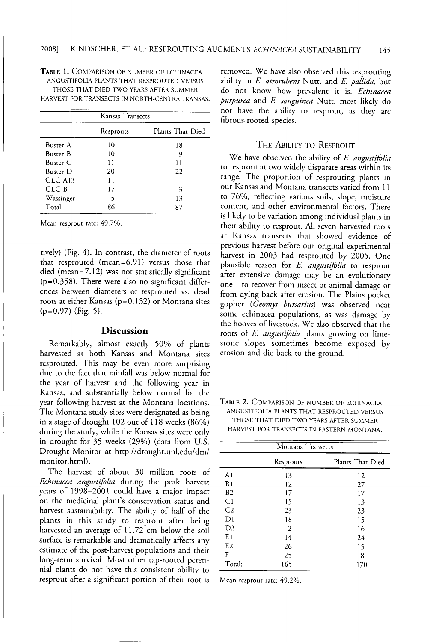|                     | Kansas Transects |                  |
|---------------------|------------------|------------------|
|                     | Resprouts        | Plants That Died |
| Buster A            | 10               | 18               |
| Buster B            | 10               | 9                |
| Buster C            | 11               | 11               |
| Buster D            | 20               | 22               |
| GLC A <sub>13</sub> | 11               |                  |
| GLC B               | 17               | 3                |
| Wassinger           | 5                | 13               |
| Total:              | 86               | 87               |

Mean resprout rate: 49.7%.

tively) (Fig. 4). In contrast, the diameter of roots that resproured (mean=6.91) versus those that died (mean= $7.12$ ) was not statistically significant  $(p=0.358)$ . There were also no significant differences between diameters of resprouted vs. dead roots at either Kansas ( $p = 0.132$ ) or Montana sites  $(p=0.97)$  (Fig. 5).

### Discussion

Remarkably, almost exactly **50%** of plants harvested at both Kansas and Montana sites resprouted. This may be even more surprising due to the fact that rainfall was below normal for the year of harvest and the following year in Kansas, and substantially below normal for the year following harvest at the Montana locations. The Montana study sites were designated as being in a stage of drought 102 out of 118 weeks (86%) during the study, while the Kansas sites were only in drought for 35 weeks (29%) (data from U.S. Drought Monitor at http://drought.unl.edu/dm/ monitor.html).

The harvest of about 30 million roots of *Echinacea angustifolia* during the peak harvest years of 1998-2001 could have a major impact on the medicinal plant's conservation status and harvest sustainability. The ability of half of the plants in this study to resprout after being harvested an average of 11.72 cm below the soil surface is remarkable and dramatically affects any estimate of the post-harvest populations and their long-term survival. Most other tap-rooted perennial plants do not have this consistent ability to resprout after a significant portion of their root is

removed. We have also observed this resprouting ability in *E. atrorubens* Nutt. and *E. pallida,* but do not know how prevalent it is. *Echinacea purpurea* and *E. sanguinea* Nutt. most likely do not have the ability to resprout, as they are fibrous-rooted species.

#### THE ABILITY TO RESPROUT

We have observed the ability of *E. angustifolia* to resprout at two widely disparate areas within its range. The proportion of resprouting plants in our Kansas and Montana transects varied from 11 to 76%, reflecting various soils, slope, moisture content, and other environmental factors. There is likely to be variation among individual plants in their ability to resprout. All seven harvested roots at Kansas transects that showed evidence of previous harvest before our original experimental harvest in 2003 had resprouted by 2005. One plausible reason for **E** *angustifolia* to resprout after extensive damage may be an evolutionary one-to recover from insect or animal damage or from dying back after erosion. The Plains pocket gopher *(Geomys bursarius)* was observed near some echinacea populations, as was damage by the hooves of livestock. We also observed that the roots of *E. angustifolia* plants growing on limestone slopes sometimes become exposed by erosion and die back to the ground.

TABLE 2. COMPARISON OF NUMBER OF ECHINACEA ANGUSTIFOLIA PLANTS THAT RESPROUTED VERSUS THOSE THAT DIED TWO YEARS AFTER SUMMER HARVEST FOR TRANSECTS IN EASTERN MONTANA.

| Montana Transects |                |                  |
|-------------------|----------------|------------------|
|                   | Resprouts      | Plants That Died |
| A <sub>1</sub>    | 13             | 12               |
| B1                | 12             | 27               |
| B2                | 17             | 17               |
| $\overline{C}1$   | 15             | 13               |
| C <sub>2</sub>    | 23             | 23               |
| D1                | 18             | 15               |
| D <sub>2</sub>    | $\overline{2}$ | 16               |
| E1                | 14             | 24               |
| E <sub>2</sub>    | 26             | 15               |
| F                 | 25             | 8                |
| Total:            | 165            | 170              |

Mean resprout rate: 49.2%.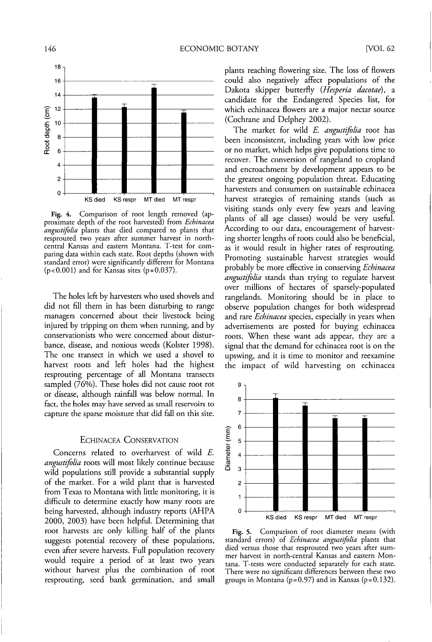

Fig. 4. Comparison of root length removed (approximate depth of the root harvested) from *Echinacea angustifolia* plants that died compared to plants that resprouted two years after summer harvest in northcentral Kansas and eastern Montana. T-test for comparing data within each state. Root depths (shown with standard error) were significantly different for Montana **(p<0.001)** and for Kansas sites (p=0.037).

The holes left by harvesters who used shovels and did not fill them in has been disturbing to range managers concerned about their livestock being injured by tripping on them when running, and by conservationists who were concerned about disturbance, disease, and noxious weeds (Kolster 1998). The one transect in which we used a shovel to harvest roots and left holes had the highest resprouting percentage of all Montana transects sampled (76%). These holes did not cause root rot or disease, although rainfall was below normal. In fact, the holes may have served as small reservoirs to capture the sparse moisture that did fall on this site.

#### ECHINACEA CONSERVATION

Concerns related to overharvest of wild **E.** *angustifolia* roots will most likely continue because wild populations still provide a substantial supply of the market. For a wild plant that is harvested from Texas to Montana with little monitoring, it is difficult to determine exactly how many roots are being harvested, although industry reports (AHPA 2000, 2003) have been helpful. Determining that root harvests are only killing half of the plants suggests potential recovery of these populations, even after severe harvests. Full population recovery would require a period of at least two years without harvest plus the combination of root resprouting, seed bank germination, and small plants reaching flowering size. The loss of flowers could also negatively affect populations of the Dakota skipper butterfly *(Hesperia dacotae),* a candidate for the Endangered Species list, for which echinacea flowers are a major nectar source (Cochrane and Delphey 2002).

The market for wild *E. angustifolia* root has been inconsistent, including years with low price or no market, which helps give populations time to recover. The conversion of rangeland to cropland and encroachment by development appears to be the greatest ongoing population threat. Educating harvesters and consumers on sustainable echinacea harvest strategies of remaining stands (such as visiting stands only every few years and leaving plants of all age classes) would be very useful. According to our data, encouragement of harvesting shorter lengths of roots could also be beneficial, as it would result in higher rates of resprouting. Promoting sustainable harvest strategies would probably be more effective in conserving *Echinacea angustifolia* stands than trying to regulate harvest over millions of hectares of sparsely-populated rangelands. Monitoring should be in place to observe population changes for both widespread and rare *Echinacea* species, especially in years when advertisements are posted for buying echinacea roots. When these want ads appear, they are a signal that the demand for echinacea root is on the upswing, and it is time to monitor and reexamine the impact of wild harvesting on echinacea



Fig. 5. Comparison of root diameter means (with standard errors) of *Echinacea angustifolia* plants that died versus those that resprouted two years after summer harvest in north-central Kansas and eastern Montana. T-tests were conducted separately for each state. There were no significant differences between these two groups in Montana ( $p=0.97$ ) and in Kansas ( $p=0.132$ ).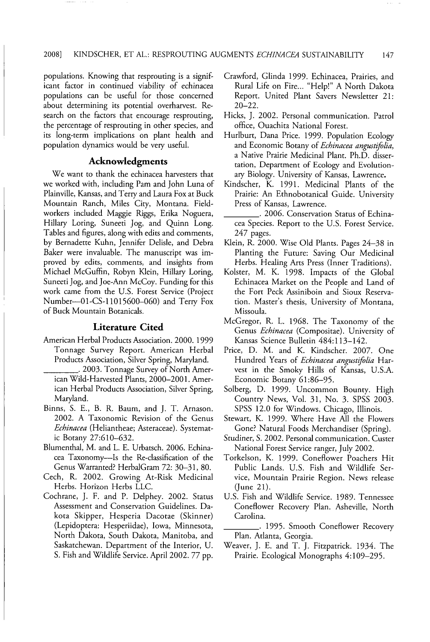populations. Knowing that resprouting is a significant factor in continued viability of echinacea populations can be useful for those concerned about determining its potential overharvest. Research on the factors that encourage resprouting, the percentage of resprouting in other species, and its long-term implications on plant health and population dynamics would be very useful.

#### Acknowledgments

We want to thank the echinacea harvesters that we worked with, including Pam and John Luna of Plainville, Kansas, and Terry and Laura Fox at Buck Mountain Ranch, Miles City, Montana. Fieldworkers included Maggie Riggs, Erika Noguera, Hillary Loring, Suneeti Jog, and Quinn Long. Tables and figures, along with edits and comments, by Bernadette Kuhn, Jennifer Delisle, and Debra Baker were invaluable. The manuscript was improved by edits, comments, and insights from Michael McGuffin, Robyn Klein, Hillary Loring, Suneeti Jog, and Joe-Ann McCoy. Funding for this work came from the U.S. Forest Service (Project Number-01-CS-11015600-060) and Terry Fox of Buck Mountain Botanicals.

#### Literature Cited

- American Herbal Products Association. 2000. 1999 Tonnage Survey Report. American Herbal Products Association, Silver Spring, Maryland.
- \_ **.** 2003. Tonnage Survey of North American Wild-Harvested Plants, 2000-200 1. American Herbal Products Association, Silver Spring, Maryland.
- Binns, S. E., B. R. Baum, and J. T. Arnason. 2002. A Taxonomic Revision of the Genus *Echinacea* (Heliantheae; Asteraceae). Systematic Botany 27:610-632.
- Blumenthal, M. and L. E. Urbatsch. 2006. Echinacea Taxonomy-Is the Re-classification of the Genus Warranted? HerbalGram 72: 30-31, 80.
- Cech, R. 2002. Growing At-Risk Medicinal Herbs. Horizon Herbs LLC.
- Cochrane, J. F. and P. Delphey. 2002. Status Assessment and Conservation Guidelines. Dakota Skipper, Hesperia Dacotae (Skinner) (Lepidoptera: Hesperiidae), Iowa, Minnesota, North Dakota, South Dakota, Manitoba, and Saskatchewan. Department of the Interior, U. S. Fish and Wildlife Service. April 2002. 77 pp.
- Crawford, Glinda 1999. Echinacea, Prairies, and Rural Life on Fire... "Help!" A North Dakota Report. United Plant Savers Newsletter 21: 20-22.
- Hicks, J. 2002. Personal communication. Patrol office, Ouachita National Forest.
- Hurlburt, Dana Price. 1999. Population Ecology and Economic Botany of *Echinacea angustifolia,* a Native Prairie Medicinal Plant. Ph.D. dissertation, Department of Ecology and Evolutionary Biology. University of Kansas, Lawrence.
- Kindscher, K. 1991. Medicinal Plants of the Prairie: An Ethnobotanical Guide. University Press of Kansas, Lawrence.
- \_ **.** 2006. Conservation Status of Echinacea Species. Report to the U.S. Forest Service. 247 pages.
- Klein, R. 2000. Wise Old Plants. Pages 24-38 in Planting the Future: Saving Our Medicinal Herbs. Healing Arts Press (Inner Traditions).
- Kolster, M. K. 1998. Impacts of the Global Echinacea Market on the People and Land of the Fort Peck Assiniboin and Sioux Reservation. Master's thesis, University of Montana, Missoula.
- McGregor, R. L. 1968. The Taxonomy of the Genus *Echinacea* (Compositae). University of Kansas Science Bulletin 484:113-142.
- Price, D. M. and K. Kindscher. 2007. One Hundred Years of *Echinacea angustifolia* Harvest in the Smoky Hills of Kansas, U.S.A. Economic Botany 61:86-95.
- Solberg, D. 1999. Uncommon Bounty. High Country News, Vol. 31, No. 3. SPSS 2003. SPSS 12.0 for Windows. Chicago, Illinois.
- Stewart, K. 1999. Where Have All the Flowers Gone? Natural Foods Merchandiser (Spring).
- Studiner, **S.** 2002. Personal communication. Custer National Forest Service ranger, July 2002.
- Torkelson, K. 1999. Coneflower Poachers Hit Public Lands. U.S. Fish and Wildlife Service, Mountain Prairie Region. News release (June 21).
- U.S. Fish and Wildlife Service. 1989. Tennessee Coneflower Recovery Plan. Asheville, North Carolina.
- **\_ .•** 1995. Smooth Coneflower Recovery Plan. Atlanta, Georgia.
- Weaver, J. E. and T. J. Fitzpatrick. 1934. The Prairie. Ecological Monographs 4:109-295.